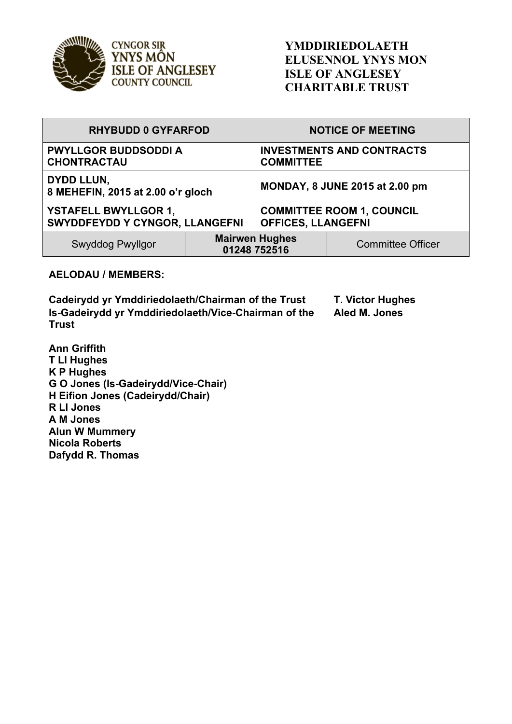

**CYNGOR SIR** YNYS MÔN **ISLE OF ANGLESEY COUNTY COUNCIL** 

| <b>RHYBUDD 0 GYFARFOD</b>                                     |                                       | <b>NOTICE OF MEETING</b>                                      |                          |
|---------------------------------------------------------------|---------------------------------------|---------------------------------------------------------------|--------------------------|
| <b>PWYLLGOR BUDDSODDI A</b><br><b>CHONTRACTAU</b>             |                                       | <b>INVESTMENTS AND CONTRACTS</b><br><b>COMMITTEE</b>          |                          |
| <b>DYDD LLUN,</b><br>8 MEHEFIN, 2015 at 2.00 o'r gloch        |                                       | <b>MONDAY, 8 JUNE 2015 at 2.00 pm</b>                         |                          |
| <b>YSTAFELL BWYLLGOR 1,</b><br>SWYDDFEYDD Y CYNGOR, LLANGEFNI |                                       | <b>COMMITTEE ROOM 1, COUNCIL</b><br><b>OFFICES, LLANGEFNI</b> |                          |
| Swyddog Pwyllgor                                              | <b>Mairwen Hughes</b><br>01248 752516 |                                                               | <b>Committee Officer</b> |

## **AELODAU / MEMBERS:**

**Cadeirydd yr Ymddiriedolaeth/Chairman of the Trust T. Victor Hughes Is-Gadeirydd yr Ymddiriedolaeth/Vice-Chairman of the Trust**

**Aled M. Jones**

**Ann Griffith T Ll Hughes K P Hughes G O Jones (Is-Gadeirydd/Vice-Chair) H Eifion Jones (Cadeirydd/Chair) R Ll Jones A M Jones Alun W Mummery Nicola Roberts Dafydd R. Thomas**